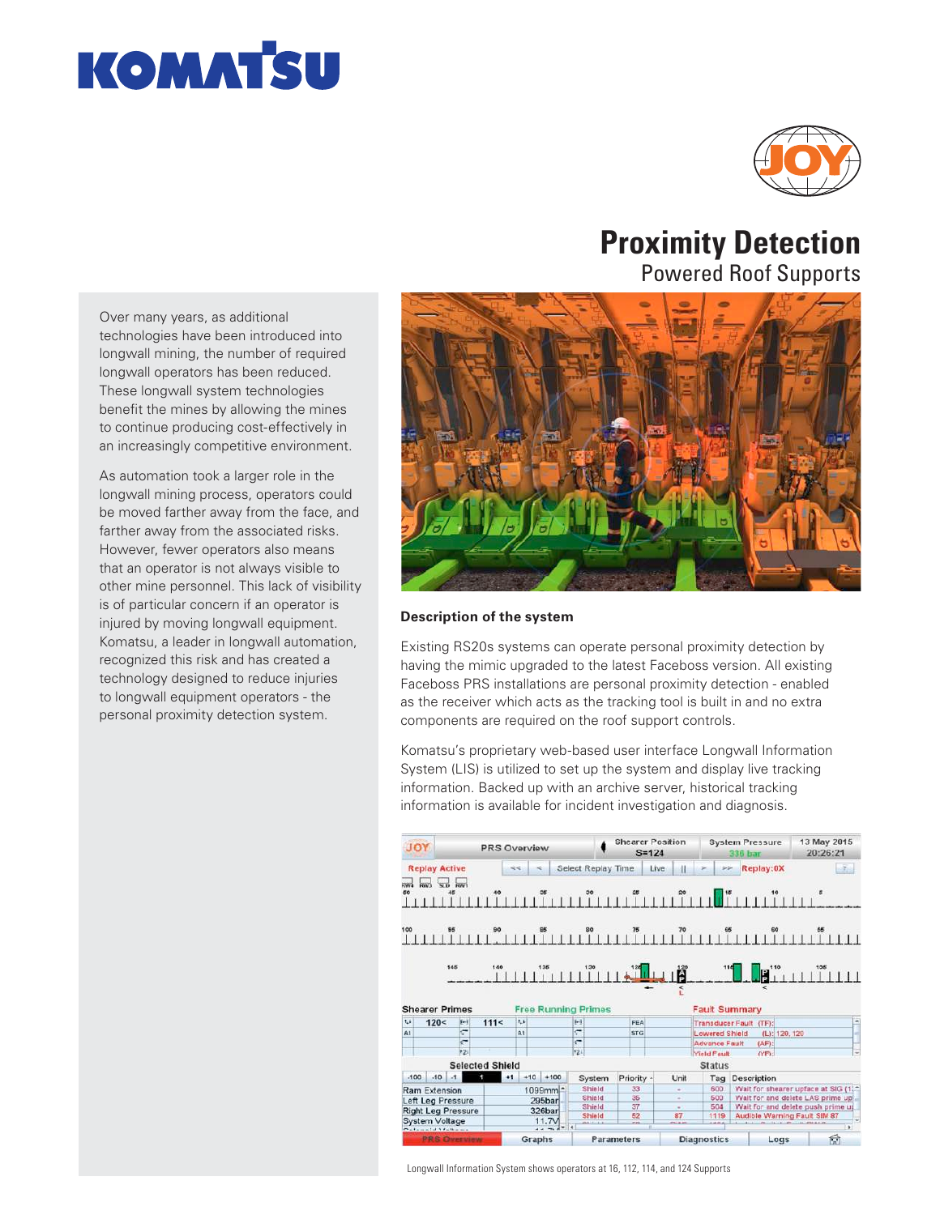



# **Proximity Detection**

Powered Roof Supports

Over many years, as additional technologies have been introduced into longwall mining, the number of required longwall operators has been reduced. These longwall system technologies benefit the mines by allowing the mines to continue producing cost-effectively in an increasingly competitive environment.

As automation took a larger role in the longwall mining process, operators could be moved farther away from the face, and farther away from the associated risks. However, fewer operators also means that an operator is not always visible to other mine personnel. This lack of visibility is of particular concern if an operator is injured by moving longwall equipment. Komatsu, a leader in longwall automation, recognized this risk and has created a technology designed to reduce injuries to longwall equipment operators - the personal proximity detection system.



#### **Description of the system**

Existing RS20s systems can operate personal proximity detection by having the mimic upgraded to the latest Faceboss version. All existing Faceboss PRS installations are personal proximity detection - enabled as the receiver which acts as the tracking tool is built in and no extra components are required on the roof support controls.

Komatsu's proprietary web-based user interface Longwall Information System (LIS) is utilized to set up the system and display live tracking information. Backed up with an archive server, historical tracking information is available for incident investigation and diagnosis.



Longwall Information System shows operators at 16, 112, 114, and 124 Supports